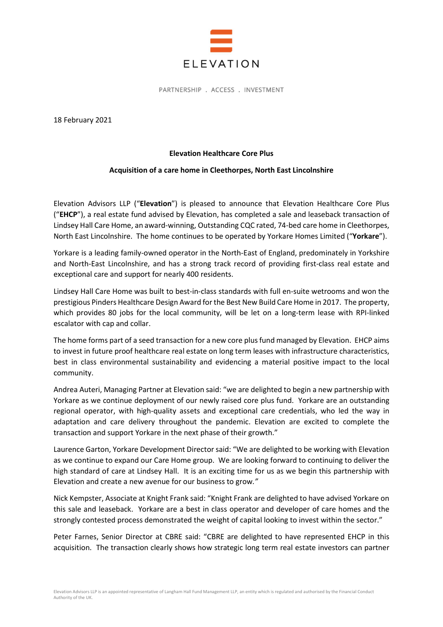

PARTNERSHIP . ACCESS . INVESTMENT

18 February 2021

## Elevation Healthcare Core Plus

## Acquisition of a care home in Cleethorpes, North East Lincolnshire

Elevation Advisors LLP ("Elevation") is pleased to announce that Elevation Healthcare Core Plus ("EHCP"), a real estate fund advised by Elevation, has completed a sale and leaseback transaction of Lindsey Hall Care Home, an award-winning, Outstanding CQC rated, 74-bed care home in Cleethorpes, North East Lincolnshire. The home continues to be operated by Yorkare Homes Limited ("Yorkare").

Yorkare is a leading family-owned operator in the North-East of England, predominately in Yorkshire and North-East Lincolnshire, and has a strong track record of providing first-class real estate and exceptional care and support for nearly 400 residents.

Lindsey Hall Care Home was built to best-in-class standards with full en-suite wetrooms and won the prestigious Pinders Healthcare Design Award for the Best New Build Care Home in 2017. The property, which provides 80 jobs for the local community, will be let on a long-term lease with RPI-linked escalator with cap and collar.

The home forms part of a seed transaction for a new core plus fund managed by Elevation. EHCP aims to invest in future proof healthcare real estate on long term leases with infrastructure characteristics, best in class environmental sustainability and evidencing a material positive impact to the local community.

Andrea Auteri, Managing Partner at Elevation said: "we are delighted to begin a new partnership with Yorkare as we continue deployment of our newly raised core plus fund. Yorkare are an outstanding regional operator, with high-quality assets and exceptional care credentials, who led the way in adaptation and care delivery throughout the pandemic. Elevation are excited to complete the transaction and support Yorkare in the next phase of their growth."

Laurence Garton, Yorkare Development Director said: "We are delighted to be working with Elevation as we continue to expand our Care Home group. We are looking forward to continuing to deliver the high standard of care at Lindsey Hall. It is an exciting time for us as we begin this partnership with Elevation and create a new avenue for our business to grow."

Nick Kempster, Associate at Knight Frank said: "Knight Frank are delighted to have advised Yorkare on this sale and leaseback. Yorkare are a best in class operator and developer of care homes and the strongly contested process demonstrated the weight of capital looking to invest within the sector."

Peter Farnes, Senior Director at CBRE said: "CBRE are delighted to have represented EHCP in this acquisition. The transaction clearly shows how strategic long term real estate investors can partner